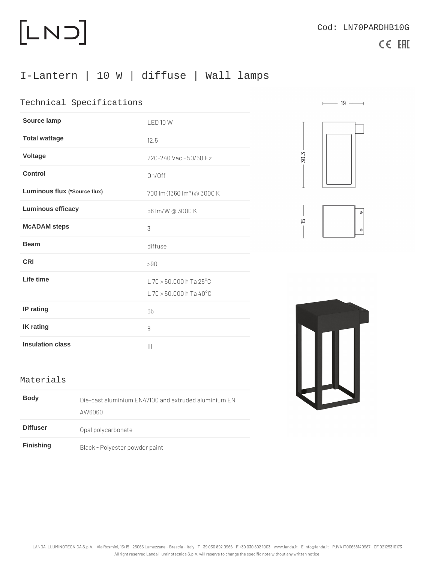## I-Lantern | 10 W | diffuse | Wall lamps

## Technical Specifications

| Source lamp                  | LED 10 W                                             |
|------------------------------|------------------------------------------------------|
| Total wattage                | 12.5                                                 |
| Voltage                      | 220-240 Vac - 50/60 Hz                               |
| Control                      | On/Off                                               |
| Luminous flux (*Source flux) | 700 lm (1360 lm*) @ 3000 K                           |
| Luminous efficacy            | 56 Im/W @ 3000 K                                     |
| McADAM steps                 | 3                                                    |
| <b>Beam</b>                  | diffuse                                              |
| <b>CRI</b>                   | > 90                                                 |
| Life time                    | L 70 > 50.000 h Ta 25°C<br>$L$ 70 > 50.000 h Ta 40°C |
| IP rating                    | 65                                                   |
| IK rating                    | 8                                                    |
| Insulation class             | $\mathbf{1}$                                         |

## **Materials**

| Body      | Die-cast aluminium EN47100 and extruded aluminium EN<br>A W 6 0 6 0 |  |  |
|-----------|---------------------------------------------------------------------|--|--|
| Diffuser  | Opal polycarbonate                                                  |  |  |
| Finishing | Black - Polyester powder paint                                      |  |  |